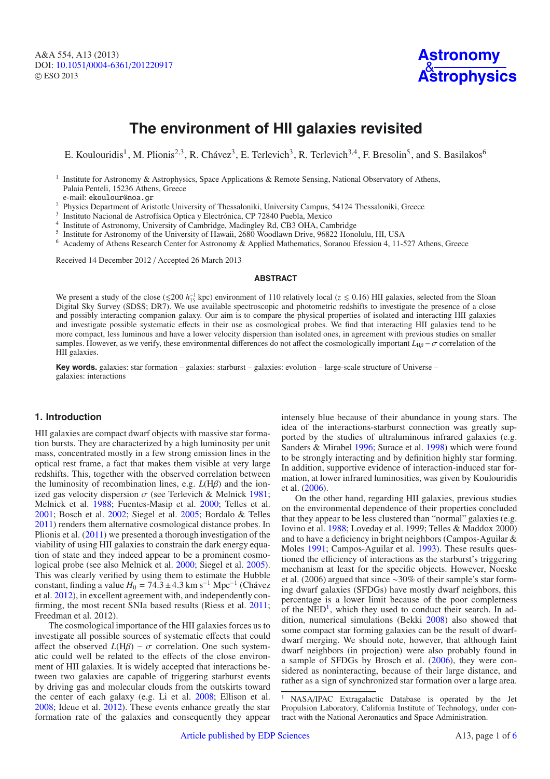

# **The environment of HII galaxies revisited**

E. Koulouridis<sup>1</sup>, M. Plionis<sup>2,3</sup>, R. Chávez<sup>3</sup>, E. Terlevich<sup>3</sup>, R. Terlevich<sup>3,4</sup>, F. Bresolin<sup>5</sup>, and S. Basilakos<sup>6</sup>

- <sup>1</sup> Institute for Astronomy & Astrophysics, Space Applications & Remote Sensing, National Observatory of Athens, Palaia Penteli, 15236 Athens, Greece<br>e-mail: ekoulour@noa.gr
- 
- <sup>2</sup> Physics Department of Aristotle University of Thessaloniki, University Campus, 54124 Thessaloniki, Greece
- <sup>3</sup> Instituto Nacional de Astrofísica Optica y Electrónica, CP 72840 Puebla, Mexico
- <sup>4</sup> Institute of Astronomy, University of Cambridge, Madingley Rd, CB3 OHA, Cambridge
- <sup>5</sup> Institute for Astronomy of the University of Hawaii, 2680 Woodlawn Drive, 96822 Honolulu, HI, USA
- <sup>6</sup> Academy of Athens Research Center for Astronomy & Applied Mathematics, Soranou Efessiou 4, 11-527 Athens, Greece

Received 14 December 2012 / Accepted 26 March 2013

### **ABSTRACT**

We present a study of the close ( $\leq 200 h_{75}^{-1}$  kpc) environment of 110 relatively local ( $z \leq 0.16$ ) HII galaxies, selected from the Sloan Digital Sky Survey (SDSS; DR7). We use available spectroscopic and photometric redshifts to investigate the presence of a close and possibly interacting companion galaxy. Our aim is to compare the physical properties of isolated and interacting HII galaxies and investigate possible systematic effects in their use as cosmological probes. We find that interacting HII galaxies tend to be more compact, less luminous and have a lower velocity dispersion than isolated ones, in agreement with previous studies on smaller samples. However, as we verify, these environmental differences do not affect the cosmologically important  $L_{\text{H}B}$  –  $\sigma$  correlation of the HII galaxies.

Key words. galaxies: star formation – galaxies: starburst – galaxies: evolution – large-scale structure of Universe – galaxies: interactions

# **1. Introduction**

HII galaxies are compact dwarf objects with massive star formation bursts. They are characterized by a high luminosity per unit mass, concentrated mostly in a few strong emission lines in the optical rest frame, a fact that makes them visible at very large redshifts. This, together with the observed correlation between the luminosity of recombination lines, e.g. *L*(Hβ) and the ionized gas velocity dispersion  $\sigma$  (see Terlevich & Melnick [1981;](#page-5-0) Melnick et al. [1988;](#page-4-0) Fuentes-Masip et al. [2000;](#page-4-1) Telles et al. [2001;](#page-5-1) Bosch et al. [2002;](#page-4-2) Siegel et al. [2005;](#page-5-2) Bordalo & Telles [2011\)](#page-4-3) renders them alternative cosmological distance probes. In Plionis et al. [\(2011\)](#page-5-3) we presented a thorough investigation of the viability of using HII galaxies to constrain the dark energy equation of state and they indeed appear to be a prominent cosmological probe (see also Melnick et al. [2000;](#page-4-4) Siegel et al. [2005\)](#page-5-2). This was clearly verified by using them to estimate the Hubble constant, finding a value *<sup>H</sup>*<sup>0</sup> <sup>=</sup> <sup>74</sup>.3±4.3 km s−<sup>1</sup> Mpc−<sup>1</sup> (Chávez et al. [2012\)](#page-4-5), in excellent agreement with, and independently confirming, the most recent SNIa based results (Riess et al. [2011;](#page-5-4) Freedman et al. 2012).

The cosmological importance of the HII galaxies forces us to investigate all possible sources of systematic effects that could affect the observed  $L(H\beta) - \sigma$  correlation. One such systematic could well be related to the effects of the close environment of HII galaxies. It is widely accepted that interactions between two galaxies are capable of triggering starburst events by driving gas and molecular clouds from the outskirts toward the center of each galaxy (e.g. Li et al. [2008;](#page-4-6) Ellison et al. [2008;](#page-4-7) Ideue et al. [2012\)](#page-4-8). These events enhance greatly the star formation rate of the galaxies and consequently they appear intensely blue because of their abundance in young stars. The idea of the interactions-starburst connection was greatly supported by the studies of ultraluminous infrared galaxies (e.g. Sanders & Mirabel [1996;](#page-5-5) Surace et al. [1998\)](#page-5-6) which were found to be strongly interacting and by definition highly star forming. In addition, supportive evidence of interaction-induced star formation, at lower infrared luminosities, was given by Koulouridis et al. [\(2006\)](#page-4-9).

<span id="page-0-0"></span>On the other hand, regarding HII galaxies, previous studies on the environmental dependence of their properties concluded that they appear to be less clustered than "normal" galaxies (e.g. Iovino et al. [1988;](#page-4-10) Loveday et al. 1999; Telles & Maddox 2000) and to have a deficiency in bright neighbors (Campos-Aguilar & Moles [1991;](#page-4-11) Campos-Aguilar et al. [1993\)](#page-4-12). These results questioned the efficiency of interactions as the starburst's triggering mechanism at least for the specific objects. However, Noeske et al. (2006) argued that since ∼30% of their sample's star forming dwarf galaxies (SFDGs) have mostly dwarf neighbors, this percentage is a lower limit because of the poor completness of the  $NED<sup>1</sup>$ , which they used to conduct their search. In addition, numerical simulations (Bekki [2008\)](#page-4-13) also showed that some compact star forming galaxies can be the result of dwarfdwarf merging. We should note, however, that although faint dwarf neighbors (in projection) were also probably found in a sample of SFDGs by Brosch et al. [\(2006\)](#page-4-14), they were considered as noninteracting, because of their large distance, and rather as a sign of synchronized star formation over a large area.

<sup>1</sup> NASA/IPAC Extragalactic Database is operated by the Jet Propulsion Laboratory, California Institute of Technology, under contract with the National Aeronautics and Space Administration.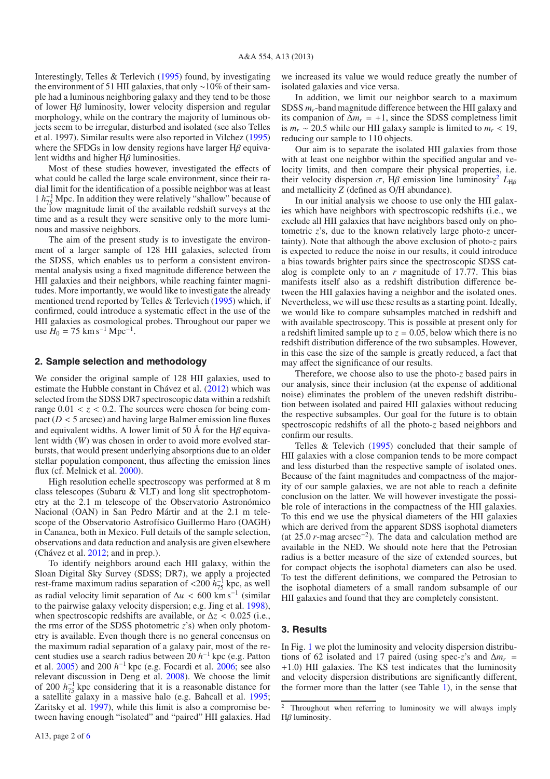Interestingly, Telles & Terlevich [\(1995\)](#page-5-8) found, by investigating the environment of 51 HII galaxies, that only ∼10% of their sample had a luminous neighboring galaxy and they tend to be those of lower  $H\beta$  luminosity, lower velocity dispersion and regular morphology, while on the contrary the majority of luminous objects seem to be irregular, disturbed and isolated (see also Telles et al. 1997). Similar results were also reported in Vilchez [\(1995\)](#page-5-9) where the SFDGs in low density regions have larger  $H\beta$  equivalent widths and higher  $H\beta$  luminosities.

Most of these studies however, investigated the effects of what could be called the large scale environment, since their radial limit for the identification of a possible neighbor was at least 1 *h*−<sup>1</sup> <sup>75</sup> Mpc. In addition they were relatively "shallow" because of the low magnitude limit of the available redshift surveys at the time and as a result they were sensitive only to the more luminous and massive neighbors.

The aim of the present study is to investigate the environment of a larger sample of 128 HII galaxies, selected from the SDSS, which enables us to perform a consistent environmental analysis using a fixed magnitude difference between the HII galaxies and their neighbors, while reaching fainter magnitudes. More importantly, we would like to investigate the already mentioned trend reported by Telles & Terlevich [\(1995\)](#page-5-8) which, if confirmed, could introduce a systematic effect in the use of the HII galaxies as cosmological probes. Throughout our paper we use  $H_0 = 75$  km s<sup>-1</sup> Mpc<sup>-1</sup>.

# **2. Sample selection and methodology**

We consider the original sample of 128 HII galaxies, used to estimate the Hubble constant in Chávez et al. [\(2012\)](#page-4-5) which was selected from the SDSS DR7 spectroscopic data within a redshift range  $0.01 < z < 0.2$ . The sources were chosen for being compact  $(D < 5$  arcsec) and having large Balmer emission line fluxes and equivalent widths. A lower limit of 50 Å for the H $\beta$  equivalent width (*W*) was chosen in order to avoid more evolved starbursts, that would present underlying absorptions due to an older stellar population component, thus affecting the emission lines flux (cf. Melnick et al. [2000\)](#page-4-4).

High resolution echelle spectroscopy was performed at 8 m class telescopes (Subaru & VLT) and long slit spectrophotometry at the 2.1 m telescope of the Observatorio Astronómico Nacional (OAN) in San Pedro Mártir and at the 2.1 m telescope of the Observatorio Astrofísico Guillermo Haro (OAGH) in Cananea, both in Mexico. Full details of the sample selection, observations and data reduction and analysis are given elsewhere (Chávez et al. [2012;](#page-4-5) and in prep.).

To identify neighbors around each HII galaxy, within the Sloan Digital Sky Survey (SDSS; DR7), we apply a projected rest-frame maximum radius separation of <200  $h_{75}^{-1}$  kpc, as well as radial velocity limit separation of  $\Delta u < 600$  km s<sup>-1</sup> (similar to the pairwise galaxy velocity dispersion; e.g. Jing et al. [1998\)](#page-4-15), when spectroscopic redshifts are available, or  $\Delta z$  < 0.025 (i.e., the rms error of the SDSS photometric *z*'s) when only photometry is available. Even though there is no general concensus on the maximum radial separation of a galaxy pair, most of the recent studies use a search radius between 20 *h*−<sup>1</sup> kpc (e.g. Patton et al. [2005\)](#page-5-10) and 200  $h^{-1}$  kpc (e.g. Focardi et al. [2006;](#page-4-16) see also relevant discussion in Deng et al. [2008\)](#page-4-17). We choose the limit of 200  $h_{75}^{-1}$  kpc considering that it is a reasonable distance for a satellite galaxy in a massive halo (e.g. Bahcall et al. [1995;](#page-4-18) Zaritsky et al. [1997\)](#page-5-11), while this limit is also a compromise between having enough "isolated" and "paired" HII galaxies. Had we increased its value we would reduce greatly the number of isolated galaxies and vice versa.

In addition, we limit our neighbor search to a maximum SDSS *mr*-band magnitude difference between the HII galaxy and its companion of  $\Delta m_r = +1$ , since the SDSS completness limit is *mr* ∼ 20.5 while our HII galaxy sample is limited to *mr* < 19, reducing our sample to 110 objects.

Our aim is to separate the isolated HII galaxies from those with at least one neighbor within the specified angular and velocity limits, and then compare their physical properties, i.e. their velocity dispersion  $\sigma$ , H<sub>β</sub> emission line luminosity<sup>[2](#page-1-0)</sup>  $L_{\text{HR}}$ and metallicity *Z* (defined as O/H abundance).

In our initial analysis we choose to use only the HII galaxies which have neighbors with spectroscopic redshifts (i.e., we exclude all HII galaxies that have neighbors based only on photometric *z*'s, due to the known relatively large photo-*z* uncertainty). Note that although the above exclusion of photo-*z* pairs is expected to reduce the noise in our results, it could introduce a bias towards brighter pairs since the spectroscopic SDSS catalog is complete only to an *r* magnitude of 17.77. This bias manifests itself also as a redshift distribution difference between the HII galaxies having a neighbor and the isolated ones. Nevertheless, we will use these results as a starting point. Ideally, we would like to compare subsamples matched in redshift and with available spectroscopy. This is possible at present only for a redshift limited sample up to  $z = 0.05$ , below which there is no redshift distribution difference of the two subsamples. However, in this case the size of the sample is greatly reduced, a fact that may affect the significance of our results.

Therefore, we choose also to use the photo-*z* based pairs in our analysis, since their inclusion (at the expense of additional noise) eliminates the problem of the uneven redshift distribution between isolated and paired HII galaxies without reducing the respective subsamples. Our goal for the future is to obtain spectroscopic redshifts of all the photo-*z* based neighbors and confirm our results.

Telles & Televich [\(1995\)](#page-5-8) concluded that their sample of HII galaxies with a close companion tends to be more compact and less disturbed than the respective sample of isolated ones. Because of the faint magnitudes and compactness of the majority of our sample galaxies, we are not able to reach a definite conclusion on the latter. We will however investigate the possible role of interactions in the compactness of the HII galaxies. To this end we use the physical diameters of the HII galaxies which are derived from the apparent SDSS isophotal diameters (at 25.0 *r*-mag arcsec−2). The data and calculation method are available in the NED. We should note here that the Petrosian radius is a better measure of the size of extended sources, but for compact objects the isophotal diameters can also be used. To test the different definitions, we compared the Petrosian to the isophotal diameters of a small random subsample of our HII galaxies and found that they are completely consistent.

## <span id="page-1-0"></span>**3. Results**

In Fig. [1](#page-2-0) we plot the luminosity and velocity dispersion distributions of 62 isolated and 17 paired (using spec-*z*'s and  $\Delta m_r$  = +1.0) HII galaxies. The KS test indicates that the luminosity and velocity dispersion distributions are significantly different, the former more than the latter (see Table [1\)](#page-2-1), in the sense that

<sup>&</sup>lt;sup>2</sup> Throughout when referring to luminosity we will always imply H $\beta$  luminosity.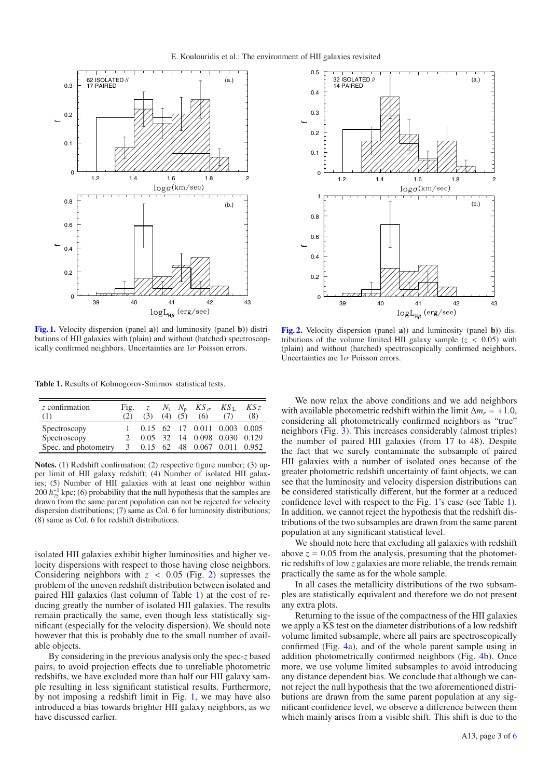



<span id="page-2-1"></span><span id="page-2-0"></span>**[Fig. 1.](http://dexter.edpsciences.org/applet.php?DOI=10.1051/0004-6361/201220917&pdf_id=1)** Velocity dispersion (panel **a)**) and luminosity (panel **b)**) distributions of HII galaxies with (plain) and without (hatched) spectroscopically confirmed neighbors. Uncertainties are  $1\sigma$  Poisson errors.

**Table 1.** Results of Kolmogorov-Smirnov statistical tests.

| z confirmation<br>(1) | Fig.          | $\mathcal{Z}^-$ | (4) | (5) | $N_i$ $N_p$ $KS_\sigma$ $KS_L$<br>(6) | KS z<br>(8) |
|-----------------------|---------------|-----------------|-----|-----|---------------------------------------|-------------|
| Spectroscopy          |               |                 |     |     | 0.15 62 17 0.011 0.003 0.005          |             |
| Spectroscopy          |               |                 |     |     | 0.05 32 14 0.098 0.030 0.129          |             |
| Spec. and photometry  | $\mathcal{E}$ |                 |     |     | 0.15 62 48 0.067 0.011 0.952          |             |

**Notes.** (1) Redshift confirmation; (2) respective figure number; (3) upper limit of HII galaxy redshift; (4) Number of isolated HII galaxies; (5) Number of HII galaxies with at least one neighbor within 200  $h_{75}^{-1}$  kpc; (6) probability that the null hypothesis that the samples are drawn from the same parent population can not be rejected for velocity dispersion distributions; (7) same as Col. 6 for luminosity distributions; (8) same as Col. 6 for redshift distributions.

isolated HII galaxies exhibit higher luminosities and higher velocity dispersions with respect to those having close neighbors. Considering neighbors with  $z < 0.05$  (Fig. [2\)](#page-2-2) supresses the problem of the uneven redshift distribution between isolated and paired HII galaxies (last column of Table [1\)](#page-2-1) at the cost of reducing greatly the number of isolated HII galaxies. The results remain practically the same, even though less statistically significant (especially for the velocity dispersion). We should note however that this is probably due to the small number of available objects.

By considering in the previous analysis only the spec-*z* based pairs, to avoid projection effects due to unreliable photometric redshifts, we have excluded more than half our HII galaxy sample resulting in less significant statistical results. Furthermore, by not imposing a redshift limit in Fig. [1,](#page-2-0) we may have also introduced a bias towards brighter HII galaxy neighbors, as we have discussed earlier.



<span id="page-2-2"></span>**[Fig. 2.](http://dexter.edpsciences.org/applet.php?DOI=10.1051/0004-6361/201220917&pdf_id=2)** Velocity dispersion (panel **a)**) and luminosity (panel **b)**) distributions of the volume limited HII galaxy sample  $(z < 0.05)$  with (plain) and without (hatched) spectroscopically confirmed neighbors. Uncertainties are  $1\sigma$  Poisson errors.

We now relax the above conditions and we add neighbors with available photometric redshift within the limit  $\Delta m_r = +1.0$ , considering all photometrically confirmed neighbors as "true" neighbors (Fig. [3\)](#page-3-0). This increases considerably (almost triples) the number of paired HII galaxies (from 17 to 48). Despite the fact that we surely contaminate the subsample of paired HII galaxies with a number of isolated ones because of the greater photometric redshift uncertainty of faint objects, we can see that the luminosity and velocity dispersion distributions can be considered statistically different, but the former at a reduced confidence level with respect to the Fig. [1'](#page-2-0)s case (see Table [1\)](#page-2-1). In addition, we cannot reject the hypothesis that the redshift distributions of the two subsamples are drawn from the same parent population at any significant statistical level.

We should note here that excluding all galaxies with redshift above  $z = 0.05$  from the analysis, presuming that the photometric redshifts of low *z* galaxies are more reliable, the trends remain practically the same as for the whole sample.

In all cases the metallicity distributions of the two subsamples are statistically equivalent and therefore we do not present any extra plots.

Returning to the issue of the compactness of the HII galaxies we apply a KS test on the diameter distributions of a low redshift volume limited subsample, where all pairs are spectroscopically confirmed (Fig. [4a](#page-3-1)), and of the whole parent sample using in addition photometrically confirmed neighbors (Fig. [4b](#page-3-1)). Once more, we use volume limited subsamples to avoid introducing any distance dependent bias. We conclude that although we cannot reject the null hypothesis that the two aforementioned distributions are drawn from the same parent population at any significant confidence level, we observe a difference between them which mainly arises from a visible shift. This shift is due to the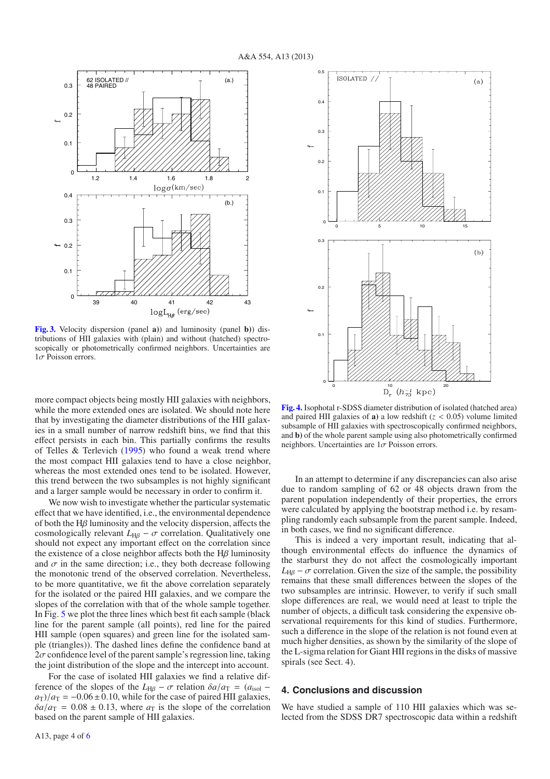

<span id="page-3-0"></span>**[Fig. 3.](http://dexter.edpsciences.org/applet.php?DOI=10.1051/0004-6361/201220917&pdf_id=3)** Velocity dispersion (panel **a)**) and luminosity (panel **b)**) distributions of HII galaxies with (plain) and without (hatched) spectroscopically or photometrically confirmed neighbors. Uncertainties are 1σ Poisson errors.

more compact objects being mostly HII galaxies with neighbors, while the more extended ones are isolated. We should note here that by investigating the diameter distributions of the HII galaxies in a small number of narrow redshift bins, we find that this effect persists in each bin. This partially confirms the results of Telles & Terlevich [\(1995\)](#page-5-8) who found a weak trend where the most compact HII galaxies tend to have a close neighbor, whereas the most extended ones tend to be isolated. However, this trend between the two subsamples is not highly significant and a larger sample would be necessary in order to confirm it.

We now wish to investigate whether the particular systematic effect that we have identified, i.e., the environmental dependence of both the Hβ luminosity and the velocity dispersion, affects the cosmologically relevant  $L_{\text{H}\beta}$  –  $\sigma$  correlation. Qualitatively one should not expect any important effect on the correlation since the existence of a close neighbor affects both the  $H\beta$  luminosity and  $\sigma$  in the same direction; i.e., they both decrease following the monotonic trend of the observed correlation. Nevertheless, to be more quantitative, we fit the above correlation separately for the isolated or the paired HII galaxies, and we compare the slopes of the correlation with that of the whole sample together. In Fig. [5](#page-4-19) we plot the three lines which best fit each sample (black line for the parent sample (all points), red line for the paired HII sample (open squares) and green line for the isolated sample (triangles)). The dashed lines define the confidence band at  $2\sigma$  confidence level of the parent sample's regression line, taking the joint distribution of the slope and the intercept into account.

For the case of isolated HII galaxies we find a relative difference of the slopes of the  $L_{\text{H}\beta} - \sigma$  relation  $\delta a/a_\text{T} = (a_{\text{isol}}$  $a_T/a_T = -0.06 \pm 0.10$ , while for the case of paired HII galaxies,  $\delta a/a_\text{T} = 0.08 \pm 0.13$ , where  $a_\text{T}$  is the slope of the correlation based on the parent sample of HII galaxies.



<span id="page-3-1"></span>**[Fig. 4.](http://dexter.edpsciences.org/applet.php?DOI=10.1051/0004-6361/201220917&pdf_id=4)** Isophotal r-SDSS diameter distribution of isolated (hatched area) and paired HII galaxies of **a**) a low redshift  $(z < 0.05)$  volume limited subsample of HII galaxies with spectroscopically confirmed neighbors, and **b)** of the whole parent sample using also photometrically confirmed neighbors. Uncertainties are  $1\sigma$  Poisson errors.

In an attempt to determine if any discrepancies can also arise due to random sampling of 62 or 48 objects drawn from the parent population independently of their properties, the errors were calculated by applying the bootstrap method i.e. by resampling randomly each subsample from the parent sample. Indeed, in both cases, we find no significant difference.

This is indeed a very important result, indicating that although environmental effects do influence the dynamics of the starburst they do not affect the cosmologically important  $L_{\text{H}\beta}$  –  $\sigma$  correlation. Given the size of the sample, the possibility remains that these small differences between the slopes of the two subsamples are intrinsic. However, to verify if such small slope differences are real, we would need at least to triple the number of objects, a difficult task considering the expensive observational requirements for this kind of studies. Furthermore, such a difference in the slope of the relation is not found even at much higher densities, as shown by the similarity of the slope of the L-sigma relation for Giant HII regions in the disks of massive spirals (see Sect. 4).

#### **4. Conclusions and discussion**

We have studied a sample of 110 HII galaxies which was selected from the SDSS DR7 spectroscopic data within a redshift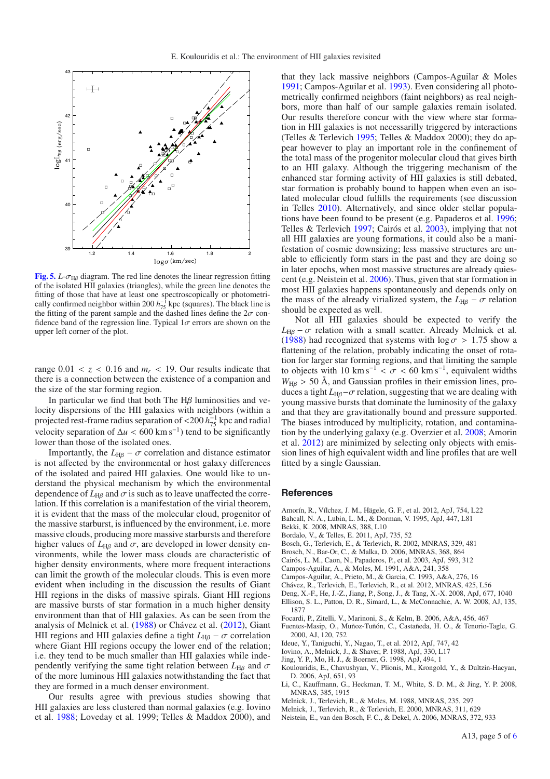<span id="page-4-19"></span>

**[Fig. 5.](http://dexter.edpsciences.org/applet.php?DOI=10.1051/0004-6361/201220917&pdf_id=5)**  $L$ - $\sigma$ <sub>Hβ</sub> diagram. The red line denotes the linear regression fitting of the isolated HII galaxies (triangles), while the green line denotes the fitting of those that have at least one spectroscopically or photometrically confirmed neighbor within 200  $h_{75}^{-1}$  kpc (squares). The black line is the fitting of the parent sample and the dashed lines define the  $2\sigma$  confidence band of the regression line. Typical  $1\sigma$  errors are shown on the upper left corner of the plot.

range  $0.01 < z < 0.16$  and  $m_r < 19$ . Our results indicate that there is a connection between the existence of a companion and the size of the star forming region.

In particular we find that both The  $H\beta$  luminosities and velocity dispersions of the HII galaxies with neighbors (within a projected rest-frame radius separation of <200 *h*−<sup>1</sup> <sup>75</sup> kpc and radial velocity separation of  $\Delta u < 600 \text{ km s}^{-1}$ ) tend to be significantly lower than those of the isolated ones.

Importantly, the  $L_{\text{H}\beta}$  –  $\sigma$  correlation and distance estimator is not affected by the environmental or host galaxy differences of the isolated and paired HII galaxies. One would like to understand the physical mechanism by which the environmental dependence of  $L_{\text{H}\beta}$  and  $\sigma$  is such as to leave unaffected the correlation. If this correlation is a manifestation of the virial theorem, it is evident that the mass of the molecular cloud, progenitor of the massive starburst, is influenced by the environment, i.e. more massive clouds, producing more massive starbursts and therefore higher values of  $L_{\text{H}\beta}$  and  $\sigma$ , are developed in lower density environments, while the lower mass clouds are characteristic of higher density environments, where more frequent interactions can limit the growth of the molecular clouds. This is even more evident when including in the discussion the results of Giant HII regions in the disks of massive spirals. Giant HII regions are massive bursts of star formation in a much higher density environment than that of HII galaxies. As can be seen from the analysis of Melnick et al. [\(1988\)](#page-4-0) or Chávez et al. [\(2012\)](#page-4-5), Giant HII regions and HII galaxies define a tight  $L_{\text{H}\beta}$  –  $\sigma$  correlation where Giant HII regions occupy the lower end of the relation; i.e. they tend to be much smaller than HII galaxies while independently verifying the same tight relation between  $L_{\text{H}\beta}$  and  $\sigma$ of the more luminous HII galaxies notwithstanding the fact that they are formed in a much denser environment.

Our results agree with previous studies showing that HII galaxies are less clustered than normal galaxies (e.g. Iovino et al. [1988;](#page-4-10) Loveday et al. 1999; Telles & Maddox 2000), and that they lack massive neighbors (Campos-Aguilar & Moles [1991;](#page-4-11) Campos-Aguilar et al. [1993\)](#page-4-12). Even considering all photometrically confirmed neighbors (faint neighbors) as real neighbors, more than half of our sample galaxies remain isolated. Our results therefore concur with the view where star formation in HII galaxies is not necessarilly triggered by interactions (Telles & Terlevich [1995;](#page-5-8) Telles & Maddox 2000); they do appear however to play an important role in the confinement of the total mass of the progenitor molecular cloud that gives birth to an HII galaxy. Although the triggering mechanism of the enhanced star forming activity of HII galaxies is still debated, star formation is probably bound to happen when even an isolated molecular cloud fulfills the requirements (see discussion in Telles [2010\)](#page-5-12). Alternatively, and since older stellar populations have been found to be present (e.g. Papaderos et al. [1996;](#page-5-13) Telles & Terlevich [1997;](#page-5-14) Cairós et al. [2003\)](#page-4-20), implying that not all HII galaxies are young formations, it could also be a manifestation of cosmic downsizing; less massive structures are unable to efficiently form stars in the past and they are doing so in later epochs, when most massive structures are already quiescent (e.g. Neistein et al. [2006\)](#page-4-21). Thus, given that star formation in most HII galaxies happens spontaneously and depends only on the mass of the already virialized system, the  $L_{\text{H}\beta} - \sigma$  relation should be expected as well.

<span id="page-4-22"></span><span id="page-4-18"></span><span id="page-4-13"></span><span id="page-4-3"></span>Not all HII galaxies should be expected to verify the  $L_{\text{H}B}$  –  $\sigma$  relation with a small scatter. Already Melnick et al. [\(1988\)](#page-4-0) had recognized that systems with  $\log \sigma > 1.75$  show a flattening of the relation, probably indicating the onset of rotation for larger star forming regions, and that limiting the sample to objects with 10 km s<sup>-1</sup> <  $\sigma$  < 60 km s<sup>-1</sup>, equivalent widths  $W_{\text{H}\beta} > 50$  Å, and Gaussian profiles in their emission lines, produces a tight  $L_{\text{H}\beta}$ − $\sigma$  relation, suggesting that we are dealing with young massive bursts that dominate the luminosity of the galaxy and that they are gravitationally bound and pressure supported. The biases introduced by multiplicity, rotation, and contamination by the underlying galaxy (e.g. Overzier et al. [2008;](#page-5-15) Amorin et al. [2012\)](#page-4-22) are minimized by selecting only objects with emission lines of high equivalent width and line profiles that are well fitted by a single Gaussian.

### <span id="page-4-20"></span><span id="page-4-17"></span><span id="page-4-16"></span><span id="page-4-14"></span><span id="page-4-12"></span><span id="page-4-11"></span><span id="page-4-7"></span><span id="page-4-5"></span><span id="page-4-2"></span><span id="page-4-1"></span>**References**

- <span id="page-4-8"></span>Amorín, R., Vílchez, J. M., Hägele, G. F., et al. 2012, ApJ, 754, L22
- <span id="page-4-15"></span><span id="page-4-10"></span>Bahcall, N. A., Lubin, L. M., & Dorman, V. 1995, ApJ, 447, L81
- Bekki, K. 2008, MNRAS, 388, L10
- Bordalo, V., & Telles, E. 2011, ApJ, 735, 52
- <span id="page-4-9"></span>Bosch, G., Terlevich, E., & Terlevich, R. 2002, MNRAS, 329, 481
- <span id="page-4-6"></span>Brosch, N., Bar-Or, C., & Malka, D. 2006, MNRAS, 368, 864
- Cairós, L. M., Caon, N., Papaderos, P., et al. 2003, ApJ, 593, 312
- <span id="page-4-0"></span>Campos-Aguilar, A., & Moles, M. 1991, A&A, 241, 358
- <span id="page-4-4"></span>Campos-Aguilar, A., Prieto, M., & Garcia, C. 1993, A&A, 276, 16
- Chávez, R., Terlevich, E., Terlevich, R., et al. 2012, MNRAS, 425, L56
- <span id="page-4-21"></span>Deng, X.-F., He, J.-Z., Jiang, P., Song, J., & Tang, X.-X. 2008, ApJ, 677, 1040
- Ellison, S. L., Patton, D. R., Simard, L., & McConnachie, A. W. 2008, AJ, 135, 1877
- Focardi, P., Zitelli, V., Marinoni, S., & Kelm, B. 2006, A&A, 456, 467
- Fuentes-Masip, O., Muñoz-Tuñón, C., Castañeda, H. O., & Tenorio-Tagle, G. 2000, AJ, 120, 752
- Ideue, Y., Taniguchi, Y., Nagao, T., et al. 2012, ApJ, 747, 42
- Iovino, A., Melnick, J., & Shaver, P. 1988, ApJ, 330, L17
- Jing, Y. P., Mo, H. J., & Boerner, G. 1998, ApJ, 494, 1
- Koulouridis, E., Chavushyan, V., Plionis, M., Krongold, Y., & Dultzin-Hacyan, D. 2006, ApJ, 651, 93
- Li, C., Kauffmann, G., Heckman, T. M., White, S. D. M., & Jing, Y. P. 2008, MNRAS, 385, 1915
- Melnick, J., Terlevich, R., & Moles, M. 1988, MNRAS, 235, 297
- Melnick, J., Terlevich, R., & Terlevich, E. 2000, MNRAS, 311, 629
- Neistein, E., van den Bosch, F. C., & Dekel, A. 2006, MNRAS, 372, 933